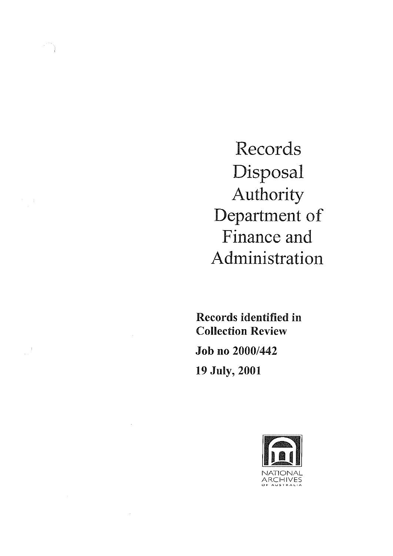Records Disposal Authority Department of Finance and Administration

 $\frac{1}{2}$ 

 $\frac{1}{\sqrt{2}}$ 

 $\mathcal{A}^{\mathcal{A}}$ 

Records identified in Collection Review Job no 2000/442 19 July, 2001

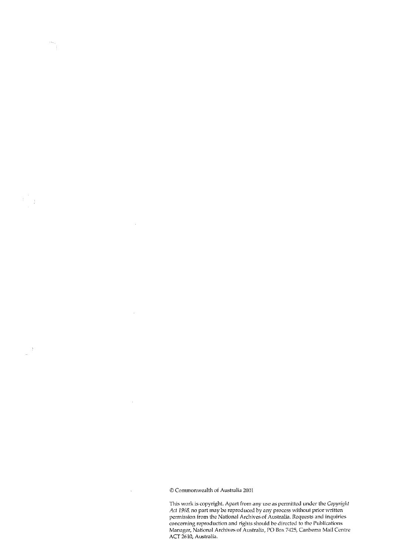© Commonwealth of Australia 2001

 $\hat{t}$ 

 $\frac{1}{\sqrt{2}}$ 

 $\bar{z}$ 

 $\overline{\phantom{a}}$ 

 $\mathbb{R}^2$ 

 $\sim$ 

This work is copyright. Apart from any use as permitted under the Copyright *Ac11968,* no part may be reproduced by any process without prior written permission from the National Archives of Australia. Requests and inquiries concerning reproduction and tights should be directed to the Publications Manager, National Archives of Australia, PO Box 7425, Canberra Mail Centre ACT 2610, Australia.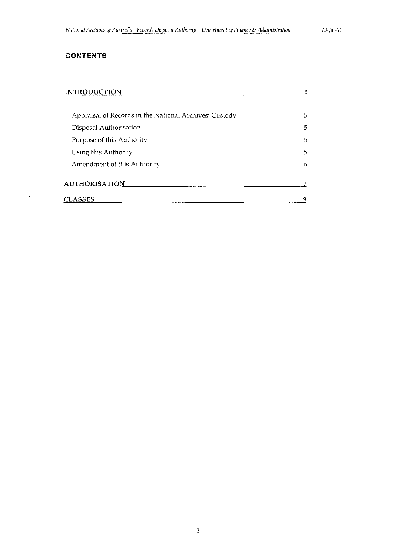# **CONTENTS**

 $\frac{1}{\sqrt{2}}\frac{d\phi}{d\phi} = \frac{1}{2}\frac{d\phi}{d\phi}$ 

 $\frac{1}{\sqrt{2}}$ 

| <b>INTRODUCTION</b>                                    | 5 |
|--------------------------------------------------------|---|
|                                                        |   |
| Appraisal of Records in the National Archives' Custody | 5 |
| Disposal Authorisation                                 | 5 |
| Purpose of this Authority                              | 5 |
| Using this Authority                                   | 5 |
| Amendment of this Authority                            | 6 |
| <b>AUTHORISATION</b>                                   |   |
| <b>CLASSES</b>                                         | 9 |

 $\bar{z}$ 

 $\ddot{\phantom{a}}$ 

 $\bar{\mathcal{A}}$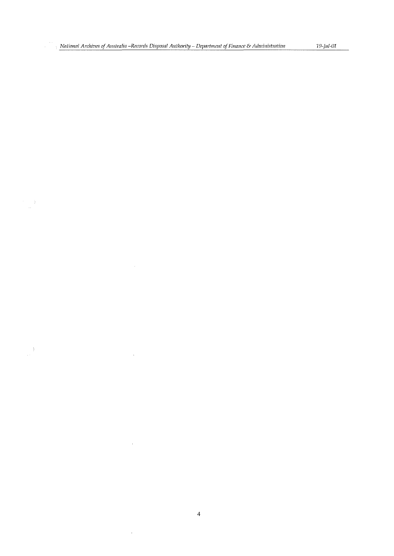$\frac{1}{2}$  ,  $\frac{1}{2}$ 

 $\frac{1}{\sqrt{2}}\left(\frac{1}{\sqrt{2}}\right)$ 

 $\frac{1}{\sqrt{2}}$ 

 $\hat{\mathcal{A}}$ 

 $\hat{\mathcal{A}}$ 

 $\sim$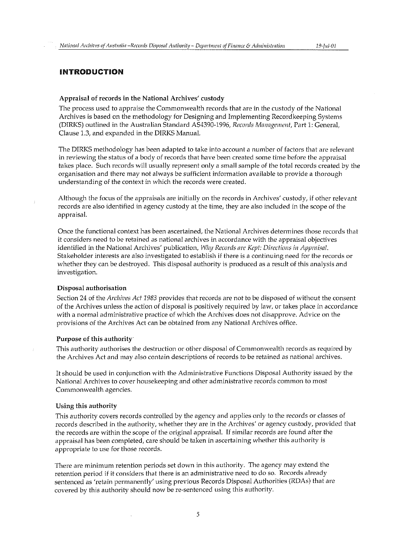# INTRODUCTION

## Appraisal of records in the National Archives' custody

The process used to appraise the Commonwealth records that are in the custody of the National Archives is based on the methodology for Designing and Implementing Recordkeeping Systems (DIRKS) outlined in the Australian Standard AS4390-1996, *Records Management,* Part 1: General, Clause 1.3, and expanded in the DIRKS Manual.

The DIRKS methodology has been adapted to take into account a number of factors that are relevant in reviewing the status of a body of records that have been created some time before the appraisal takes place. Such records will usually represent only a small sample of the total records created by the organisation and there may not always be sufficient information available to provide a thorough understanding of the context in which the records were created.

Although the focus of the appraisals are initially on the records in Archives' custody, if other relevant records are also identified in agency custody at the time, they are also included in the scope of the appraisal.

Once the functional context has been ascertained, the National Archives determines those records that it considers need to be retained as national archives in accordance with the appraisal objectives identified in the National Archives' publication, *Why Records are Kept: Directions* in *Appraisal.*  Stakeholder interests are also investigated to establish if there is a continuing need for the records or whether they can be destroyed. This disposal authority is produced as a result of this analysis and investigation.

#### **Disposal authorisation**

Section 24 of the *Archives Act* 1983 provides that records are not to be disposed of without the consent of the Archives unless the action of disposal is positively required by law, or takes place in accordance with a normal administrative practice of which the Archives does not disapprove. Advice on the provisions of the Archives Act can be obtained from any National Archives office.

#### Purpose of this authority

This authority authorises the destruction or other disposal of Commonwealth records as required by the Archives Act and may also contain descriptions of records to be retained as national archives.

It should be used in conjunction with the Administrative Functions Disposal Authority issued by the National Archives to cover housekeeping and other administrative records common to most Commonwealth agencies.

#### Using this authority

This authority covers records controlled by the agency and applies only to the records or classes of records described in the authority, whether they are in the Archives' or agency custody, provided that the records are within the scope of the original appraisal. If similar records are found after the appraisal has been completed, care should be taken in ascertaining whether this authority is appropriate to use for those records.

There are minimum retention periods set down in this authority. The agency may extend the retention period if it considers that there is an administrative need to do so. Records already sentenced as 'retain permanently' using previous Records Disposal Authorities (RDAs) that are covered by this authority should now be re-sentenced using this authority.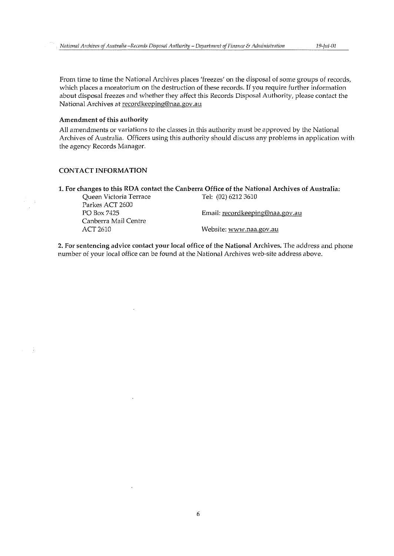From time to time the National Archives places 'freezes' on the disposal of some groups of records, which places a moratorium on the destruction of these records. If you require further information about disposal freezes and whether they affect this Records Disposal Authority, please contact the **National Archives at recordkeeping@naa.gov.au** 

#### Amendment of this authority

All amendments or variations to the classes in this authority must be approved by the National Archives of Australia. Officers using this authority should discuss any problems in application with the agency Records Manager.

#### CONTACT INFORMATION

 $\chi \sim 1$ 

### 1. For changes to this RDA contact the Canberra Office of the National Archives of Australia:

Queen Victoria Terrace Tel: (02) 6212 3610 Parkes ACT 2600 PO Box 7425 **Email:** recordkeeping@naa.gov.au **Canberra Mail Centre**  ACT 2610 **Website: www.naa.gov.au** 

2. For sentencing advice contact your local office of the National Archives. The address and phone number of your local office can be found at the National Archives web-site address above.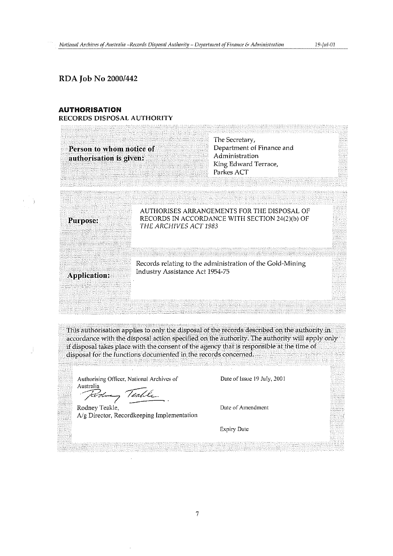# RDA Job No 2000/442

# **AUTHORISATION** RECORDS DISPOSAL AUTHORITY

| Person to whom notice of<br>authorisation is given: |                                 | The Secretary,<br>Department of Finance and<br>Administration<br>King Edward Terrace,<br>Parkes ACT |  |
|-----------------------------------------------------|---------------------------------|-----------------------------------------------------------------------------------------------------|--|
| <b>Purpose:</b>                                     | THE ARCHIVES ACT 1983           | AUTHORISES ARRANGEMENTS FOR THE DISPOSAL OF<br>RECORDS IN ACCORDANCE WITH SECTION 24(2)(b) OF       |  |
| <b>Application:</b>                                 | Industry Assistance Act 1954-75 | Records relating to the administration of the Gold-Mining                                           |  |

This authorisation applies to only the disposal of the records described on the authority in accordance with the disposal action specified on the authority. The authority will apply only if disposal takes place with the consent of the agency that is responsible at the time of disposal for the functions documented in the records concerned.

<u> 1999 - Johann Johnson (d. 19</u>

Authorising Officer, National Archives of Australia

<u>Serge mana</u>

y Teable Teed

Rodney Teakle, A/g Director, Recordkeeping Implementation Date of Issue 19 July, 2001

Date of Amendment

**Expiry Date**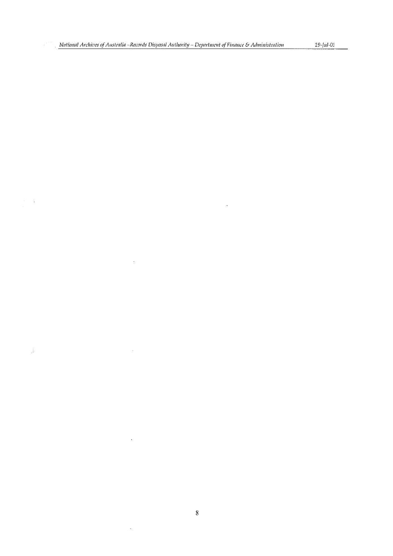$\sim 10^{-10}$ 

 $\sim$ 

 $\Delta \sim 1$ 

 $\mathcal{A}^{\pm}$ 

 $\bar{8}$ 

 $\sim 10^{-1}$ 

 $\frac{1}{2} \left( \frac{1}{2} \right)^{2} \left( \frac{1}{2} \right)^{2}$ 

 $\frac{1}{\alpha}$